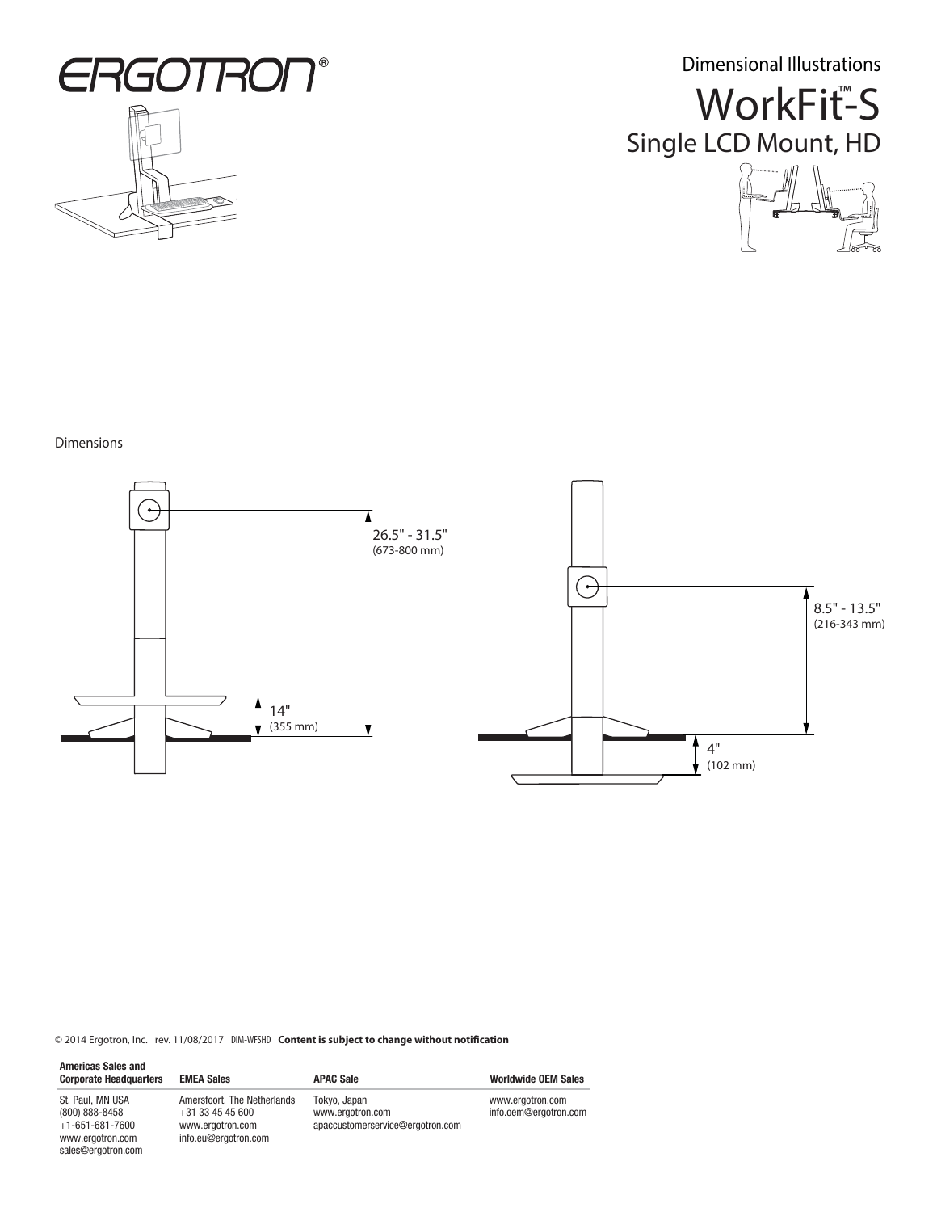

Dimensional Illustrations





## Dimensions



© 2014 Ergotron, Inc. rev. 11/08/2017 DIM-WFSHD **Content is subject to change without notification**

| <b>Americas Sales and</b><br><b>Corporate Headquarters</b>                                                  | <b>EMEA Sales</b>                                                                             | <b>APAC Sale</b>                                                     | <b>Worldwide OEM Sales</b>                |
|-------------------------------------------------------------------------------------------------------------|-----------------------------------------------------------------------------------------------|----------------------------------------------------------------------|-------------------------------------------|
| St. Paul, MN USA<br>$(800) 888 - 8458$<br>$+1 - 651 - 681 - 7600$<br>www.ergotron.com<br>sales@ergotron.com | Amersfoort, The Netherlands<br>$+31$ 33 45 45 600<br>www.ergotron.com<br>info.eu@ergotron.com | Tokyo, Japan<br>www.ergotron.com<br>apaccustomerservice@ergotron.com | www.ergotron.com<br>info.oem@ergotron.com |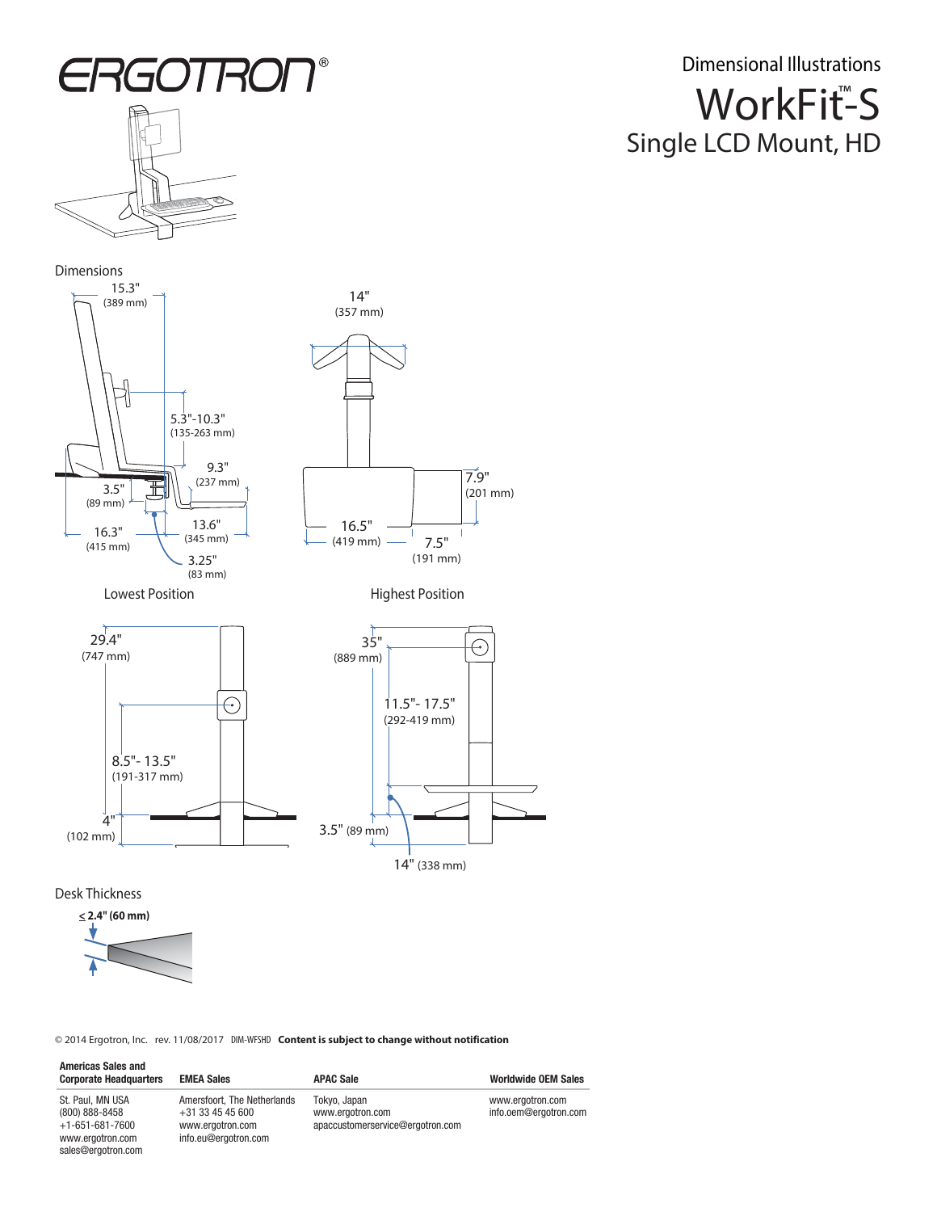

Dimensions





 $^{\circledR}$ 

Lowest Position **Accord Position** Highest Position



Desk Thickness

sales@ergotron.com



© 2014 Ergotron, Inc. rev. 11/08/2017 DIM-WFSHD **Content is subject to change without notification**

| <b>Americas Sales and</b><br><b>Corporate Headquarters</b>                  | <b>EMEA Sales</b>                                                                             | <b>APAC Sale</b>                                                     | <b>Worldwide OEM Sales</b>                |
|-----------------------------------------------------------------------------|-----------------------------------------------------------------------------------------------|----------------------------------------------------------------------|-------------------------------------------|
| St. Paul, MN USA<br>(800) 888-8458<br>$+1-651-681-7600$<br>www.ergotron.com | Amersfoort. The Netherlands<br>$+31$ 33 45 45 600<br>www.ergotron.com<br>info.eu@ergotron.com | Tokyo, Japan<br>www.ergotron.com<br>apaccustomerservice@ergotron.com | www.ergotron.com<br>info.oem@ergotron.com |

WorkFit<sup>™</sup>S Single LCD Mount, HD Dimensional Illustrations